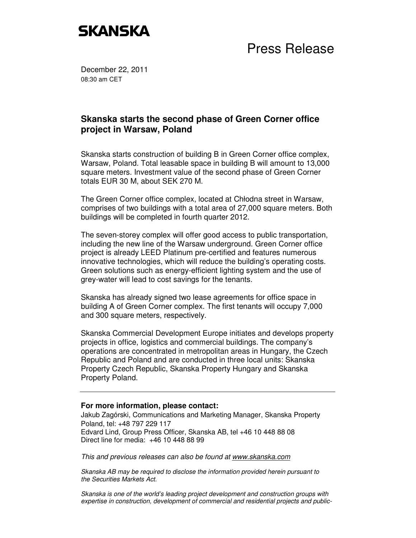## **SKANSKA**

Press Release

December 22, 2011 08:30 am CET

## **Skanska starts the second phase of Green Corner office project in Warsaw, Poland**

Skanska starts construction of building B in Green Corner office complex, Warsaw, Poland. Total leasable space in building B will amount to 13,000 square meters. Investment value of the second phase of Green Corner totals EUR 30 M, about SEK 270 M.

The Green Corner office complex, located at Chłodna street in Warsaw, comprises of two buildings with a total area of 27,000 square meters. Both buildings will be completed in fourth quarter 2012.

The seven-storey complex will offer good access to public transportation, including the new line of the Warsaw underground. Green Corner office project is already LEED Platinum pre-certified and features numerous innovative technologies, which will reduce the building's operating costs. Green solutions such as energy-efficient lighting system and the use of grey-water will lead to cost savings for the tenants.

Skanska has already signed two lease agreements for office space in building A of Green Corner complex. The first tenants will occupy 7,000 and 300 square meters, respectively.

Skanska Commercial Development Europe initiates and develops property projects in office, logistics and commercial buildings. The company's operations are concentrated in metropolitan areas in Hungary, the Czech Republic and Poland and are conducted in three local units: Skanska Property Czech Republic, Skanska Property Hungary and Skanska Property Poland.

## **For more information, please contact:**

Jakub Zagórski, Communications and Marketing Manager, Skanska Property Poland, tel: +48 797 229 117 Edvard Lind, Group Press Officer, Skanska AB, tel +46 10 448 88 08 Direct line for media: +46 10 448 88 99

This and previous releases can also be found at www.skanska.com

Skanska AB may be required to disclose the information provided herein pursuant to the Securities Markets Act.

Skanska is one of the world's leading project development and construction groups with expertise in construction, development of commercial and residential projects and public